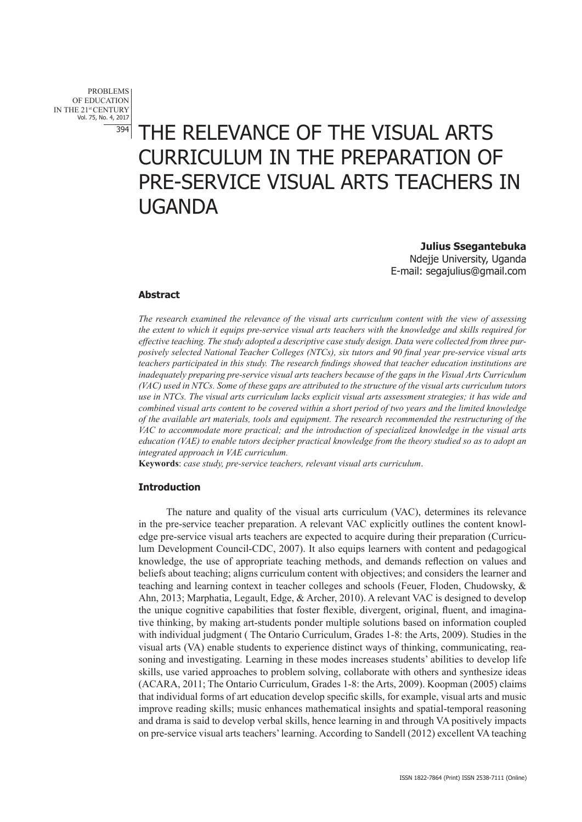PROBLEMS OF EDUCATION IN THE 21st CENTURY Vol. 75, No. 4, 2017 394

# THE RELEVANCE OF THE VISUAL ARTS CURRICULUM IN THE PREPARATION OF PRE-SERVICE VISUAL ARTS TEACHERS IN UGANDA

**Julius Ssegantebuka**  Ndejje University, Uganda E-mail: segajulius@gmail.com

## **Abstract**

*The research examined the relevance of the visual arts curriculum content with the view of assessing the extent to which it equips pre-service visual arts teachers with the knowledge and skills required for effective teaching. The study adopted a descriptive case study design. Data were collected from three purposively selected National Teacher Colleges (NTCs), six tutors and 90 final year pre-service visual arts teachers participated in this study. The research findings showed that teacher education institutions are inadequately preparing pre-service visual arts teachers because of the gaps in the Visual Arts Curriculum (VAC) used in NTCs. Some of these gaps are attributed to the structure of the visual arts curriculum tutors use in NTCs. The visual arts curriculum lacks explicit visual arts assessment strategies; it has wide and combined visual arts content to be covered within a short period of two years and the limited knowledge of the available art materials, tools and equipment. The research recommended the restructuring of the VAC to accommodate more practical; and the introduction of specialized knowledge in the visual arts education (VAE) to enable tutors decipher practical knowledge from the theory studied so as to adopt an integrated approach in VAE curriculum.* 

**Keywords**: *case study, pre-service teachers, relevant visual arts curriculum*.

## **Introduction**

The nature and quality of the visual arts curriculum (VAC), determines its relevance in the pre-service teacher preparation. A relevant VAC explicitly outlines the content knowledge pre-service visual arts teachers are expected to acquire during their preparation (Curriculum Development Council-CDC, 2007). It also equips learners with content and pedagogical knowledge, the use of appropriate teaching methods, and demands reflection on values and beliefs about teaching; aligns curriculum content with objectives; and considers the learner and teaching and learning context in teacher colleges and schools (Feuer, Floden, Chudowsky, & Ahn, 2013; Marphatia, Legault, Edge, & Archer, 2010). A relevant VAC is designed to develop the unique cognitive capabilities that foster flexible, divergent, original, fluent, and imaginative thinking, by making art-students ponder multiple solutions based on information coupled with individual judgment ( The Ontario Curriculum, Grades 1-8: the Arts, 2009). Studies in the visual arts (VA) enable students to experience distinct ways of thinking, communicating, reasoning and investigating. Learning in these modes increases students' abilities to develop life skills, use varied approaches to problem solving, collaborate with others and synthesize ideas (ACARA, 2011; The Ontario Curriculum, Grades 1-8: the Arts, 2009). Koopman (2005) claims that individual forms of art education develop specific skills, for example, visual arts and music improve reading skills; music enhances mathematical insights and spatial-temporal reasoning and drama is said to develop verbal skills, hence learning in and through VA positively impacts on pre-service visual arts teachers' learning. According to Sandell (2012) excellent VA teaching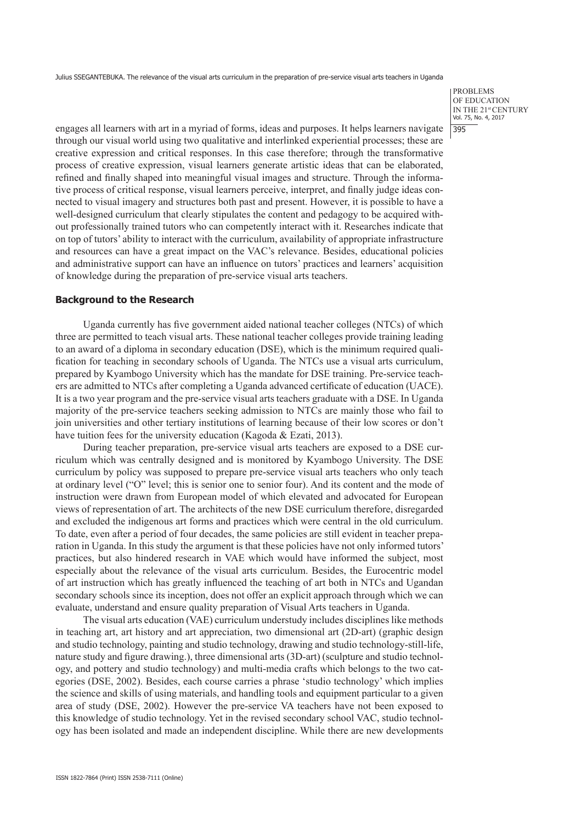PROBLEMS OF EDUCATION IN THE 21st CENTURY Vol. 75, No. 4, 2017 395

engages all learners with art in a myriad of forms, ideas and purposes. It helps learners navigate through our visual world using two qualitative and interlinked experiential processes; these are creative expression and critical responses. In this case therefore; through the transformative process of creative expression, visual learners generate artistic ideas that can be elaborated, refined and finally shaped into meaningful visual images and structure. Through the informative process of critical response, visual learners perceive, interpret, and finally judge ideas connected to visual imagery and structures both past and present. However, it is possible to have a well-designed curriculum that clearly stipulates the content and pedagogy to be acquired without professionally trained tutors who can competently interact with it. Researches indicate that on top of tutors' ability to interact with the curriculum, availability of appropriate infrastructure and resources can have a great impact on the VAC's relevance. Besides, educational policies and administrative support can have an influence on tutors' practices and learners' acquisition of knowledge during the preparation of pre-service visual arts teachers.

## **Background to the Research**

Uganda currently has five government aided national teacher colleges (NTCs) of which three are permitted to teach visual arts. These national teacher colleges provide training leading to an award of a diploma in secondary education (DSE), which is the minimum required qualification for teaching in secondary schools of Uganda. The NTCs use a visual arts curriculum, prepared by Kyambogo University which has the mandate for DSE training. Pre-service teachers are admitted to NTCs after completing a Uganda advanced certificate of education (UACE). It is a two year program and the pre-service visual arts teachers graduate with a DSE. In Uganda majority of the pre-service teachers seeking admission to NTCs are mainly those who fail to join universities and other tertiary institutions of learning because of their low scores or don't have tuition fees for the university education (Kagoda & Ezati, 2013).

During teacher preparation, pre-service visual arts teachers are exposed to a DSE curriculum which was centrally designed and is monitored by Kyambogo University. The DSE curriculum by policy was supposed to prepare pre-service visual arts teachers who only teach at ordinary level ("O" level; this is senior one to senior four). And its content and the mode of instruction were drawn from European model of which elevated and advocated for European views of representation of art. The architects of the new DSE curriculum therefore, disregarded and excluded the indigenous art forms and practices which were central in the old curriculum. To date, even after a period of four decades, the same policies are still evident in teacher preparation in Uganda. In this study the argument is that these policies have not only informed tutors' practices, but also hindered research in VAE which would have informed the subject, most especially about the relevance of the visual arts curriculum. Besides, the Eurocentric model of art instruction which has greatly influenced the teaching of art both in NTCs and Ugandan secondary schools since its inception, does not offer an explicit approach through which we can evaluate, understand and ensure quality preparation of Visual Arts teachers in Uganda.

The visual arts education (VAE) curriculum understudy includes disciplines like methods in teaching art, art history and art appreciation, two dimensional art (2D-art) (graphic design and studio technology, painting and studio technology, drawing and studio technology-still-life, nature study and figure drawing.), three dimensional arts (3D-art) (sculpture and studio technology, and pottery and studio technology) and multi-media crafts which belongs to the two categories (DSE, 2002). Besides, each course carries a phrase 'studio technology' which implies the science and skills of using materials, and handling tools and equipment particular to a given area of study (DSE, 2002). However the pre-service VA teachers have not been exposed to this knowledge of studio technology. Yet in the revised secondary school VAC, studio technology has been isolated and made an independent discipline. While there are new developments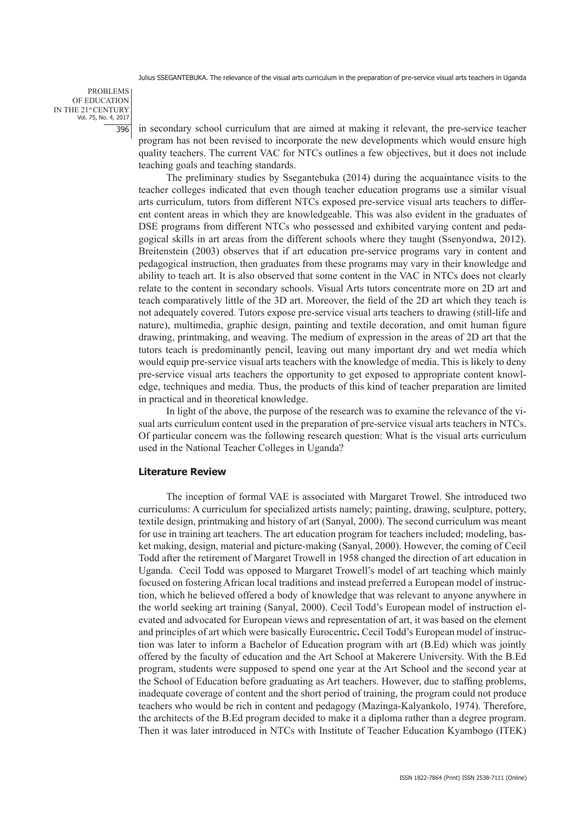PROBLEMS OF EDUCATION IN THE 21st CENTURY Vol. 75, No. 4, 2017 396

in secondary school curriculum that are aimed at making it relevant, the pre-service teacher program has not been revised to incorporate the new developments which would ensure high quality teachers. The current VAC for NTCs outlines a few objectives, but it does not include teaching goals and teaching standards.

The preliminary studies by Ssegantebuka (2014) during the acquaintance visits to the teacher colleges indicated that even though teacher education programs use a similar visual arts curriculum, tutors from different NTCs exposed pre-service visual arts teachers to different content areas in which they are knowledgeable. This was also evident in the graduates of DSE programs from different NTCs who possessed and exhibited varying content and pedagogical skills in art areas from the different schools where they taught (Ssenyondwa, 2012). Breitenstein (2003) observes that if art education pre-service programs vary in content and pedagogical instruction, then graduates from these programs may vary in their knowledge and ability to teach art. It is also observed that some content in the VAC in NTCs does not clearly relate to the content in secondary schools. Visual Arts tutors concentrate more on 2D art and teach comparatively little of the 3D art. Moreover, the field of the 2D art which they teach is not adequately covered. Tutors expose pre-service visual arts teachers to drawing (still-life and nature), multimedia, graphic design, painting and textile decoration, and omit human figure drawing, printmaking, and weaving. The medium of expression in the areas of 2D art that the tutors teach is predominantly pencil, leaving out many important dry and wet media which would equip pre-service visual arts teachers with the knowledge of media. This is likely to deny pre-service visual arts teachers the opportunity to get exposed to appropriate content knowledge, techniques and media. Thus, the products of this kind of teacher preparation are limited in practical and in theoretical knowledge.

In light of the above, the purpose of the research was to examine the relevance of the visual arts curriculum content used in the preparation of pre-service visual arts teachers in NTCs. Of particular concern was the following research question: What is the visual arts curriculum used in the National Teacher Colleges in Uganda?

## **Literature Review**

The inception of formal VAE is associated with Margaret Trowel. She introduced two curriculums: A curriculum for specialized artists namely; painting, drawing, sculpture, pottery, textile design, printmaking and history of art (Sanyal, 2000). The second curriculum was meant for use in training art teachers. The art education program for teachers included; modeling, basket making, design, material and picture-making (Sanyal, 2000). However, the coming of Cecil Todd after the retirement of Margaret Trowell in 1958 changed the direction of art education in Uganda. Cecil Todd was opposed to Margaret Trowell's model of art teaching which mainly focused on fostering African local traditions and instead preferred a European model of instruction, which he believed offered a body of knowledge that was relevant to anyone anywhere in the world seeking art training (Sanyal, 2000). Cecil Todd's European model of instruction elevated and advocated for European views and representation of art, it was based on the element and principles of art which were basically Eurocentric**.** Cecil Todd's European model of instruction was later to inform a Bachelor of Education program with art (B.Ed) which was jointly offered by the faculty of education and the Art School at Makerere University. With the B.Ed program, students were supposed to spend one year at the Art School and the second year at the School of Education before graduating as Art teachers. However, due to staffing problems, inadequate coverage of content and the short period of training, the program could not produce teachers who would be rich in content and pedagogy (Mazinga-Kalyankolo, 1974). Therefore, the architects of the B.Ed program decided to make it a diploma rather than a degree program. Then it was later introduced in NTCs with Institute of Teacher Education Kyambogo (ITEK)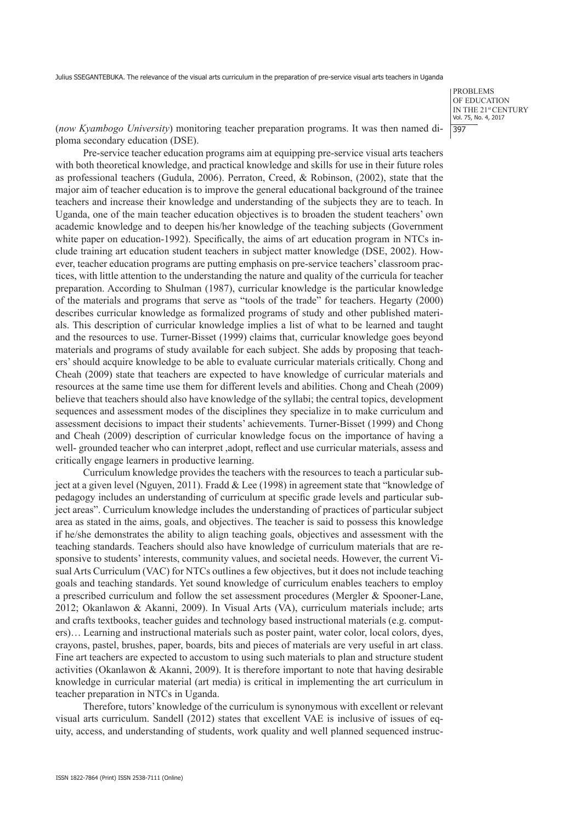PROBLEMS OF EDUCATION IN THE 21st CENTURY Vol. 75, No. 4, 2017 397

(*now Kyambogo University*) monitoring teacher preparation programs. It was then named diploma secondary education (DSE).

Pre-service teacher education programs aim at equipping pre-service visual arts teachers with both theoretical knowledge, and practical knowledge and skills for use in their future roles as professional teachers (Gudula, 2006). Perraton, Creed, & Robinson, (2002), state that the major aim of teacher education is to improve the general educational background of the trainee teachers and increase their knowledge and understanding of the subjects they are to teach. In Uganda, one of the main teacher education objectives is to broaden the student teachers' own academic knowledge and to deepen his/her knowledge of the teaching subjects (Government white paper on education-1992). Specifically, the aims of art education program in NTCs include training art education student teachers in subject matter knowledge (DSE, 2002). However, teacher education programs are putting emphasis on pre-service teachers' classroom practices, with little attention to the understanding the nature and quality of the curricula for teacher preparation. According to Shulman (1987), curricular knowledge is the particular knowledge of the materials and programs that serve as "tools of the trade" for teachers. Hegarty (2000) describes curricular knowledge as formalized programs of study and other published materials. This description of curricular knowledge implies a list of what to be learned and taught and the resources to use. Turner-Bisset (1999) claims that, curricular knowledge goes beyond materials and programs of study available for each subject. She adds by proposing that teachers' should acquire knowledge to be able to evaluate curricular materials critically. Chong and Cheah (2009) state that teachers are expected to have knowledge of curricular materials and resources at the same time use them for different levels and abilities. Chong and Cheah (2009) believe that teachers should also have knowledge of the syllabi; the central topics, development sequences and assessment modes of the disciplines they specialize in to make curriculum and assessment decisions to impact their students' achievements. Turner-Bisset (1999) and Chong and Cheah (2009) description of curricular knowledge focus on the importance of having a well- grounded teacher who can interpret ,adopt, reflect and use curricular materials, assess and critically engage learners in productive learning.

Curriculum knowledge provides the teachers with the resources to teach a particular subject at a given level (Nguyen, 2011). Fradd & Lee (1998) in agreement state that "knowledge of pedagogy includes an understanding of curriculum at specific grade levels and particular subject areas". Curriculum knowledge includes the understanding of practices of particular subject area as stated in the aims, goals, and objectives. The teacher is said to possess this knowledge if he/she demonstrates the ability to align teaching goals, objectives and assessment with the teaching standards. Teachers should also have knowledge of curriculum materials that are responsive to students' interests, community values, and societal needs. However, the current Visual Arts Curriculum (VAC) for NTCs outlines a few objectives, but it does not include teaching goals and teaching standards. Yet sound knowledge of curriculum enables teachers to employ a prescribed curriculum and follow the set assessment procedures (Mergler & Spooner-Lane, 2012; Okanlawon & Akanni, 2009). In Visual Arts (VA), curriculum materials include; arts and crafts textbooks, teacher guides and technology based instructional materials (e.g. computers)… Learning and instructional materials such as poster paint, water color, local colors, dyes, crayons, pastel, brushes, paper, boards, bits and pieces of materials are very useful in art class. Fine art teachers are expected to accustom to using such materials to plan and structure student activities (Okanlawon & Akanni, 2009). It is therefore important to note that having desirable knowledge in curricular material (art media) is critical in implementing the art curriculum in teacher preparation in NTCs in Uganda.

Therefore, tutors' knowledge of the curriculum is synonymous with excellent or relevant visual arts curriculum. Sandell (2012) states that excellent VAE is inclusive of issues of equity, access, and understanding of students, work quality and well planned sequenced instruc-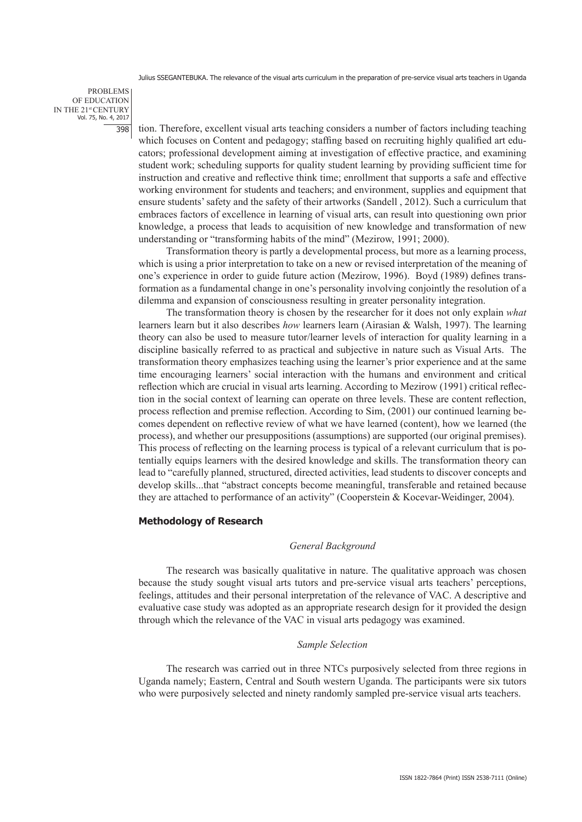PROBLEMS OF EDUCATION IN THE 21st CENTURY Vol. 75, No. 4, 2017 398

tion. Therefore, excellent visual arts teaching considers a number of factors including teaching which focuses on Content and pedagogy; staffing based on recruiting highly qualified art educators; professional development aiming at investigation of effective practice, and examining student work; scheduling supports for quality student learning by providing sufficient time for instruction and creative and reflective think time; enrollment that supports a safe and effective working environment for students and teachers; and environment, supplies and equipment that ensure students' safety and the safety of their artworks (Sandell , 2012). Such a curriculum that embraces factors of excellence in learning of visual arts, can result into questioning own prior knowledge, a process that leads to acquisition of new knowledge and transformation of new understanding or "transforming habits of the mind" (Mezirow, 1991; 2000).

Transformation theory is partly a developmental process, but more as a learning process, which is using a prior interpretation to take on a new or revised interpretation of the meaning of one's experience in order to guide future action (Mezirow, 1996). Boyd (1989) defines transformation as a fundamental change in one's personality involving conjointly the resolution of a dilemma and expansion of consciousness resulting in greater personality integration.

The transformation theory is chosen by the researcher for it does not only explain *what* learners learn but it also describes *how* learners learn (Airasian & Walsh, 1997). The learning theory can also be used to measure tutor/learner levels of interaction for quality learning in a discipline basically referred to as practical and subjective in nature such as Visual Arts. The transformation theory emphasizes teaching using the learner's prior experience and at the same time encouraging learners' social interaction with the humans and environment and critical reflection which are crucial in visual arts learning. According to Mezirow (1991) critical reflection in the social context of learning can operate on three levels. These are content reflection, process reflection and premise reflection. According to Sim, (2001) our continued learning becomes dependent on reflective review of what we have learned (content), how we learned (the process), and whether our presuppositions (assumptions) are supported (our original premises). This process of reflecting on the learning process is typical of a relevant curriculum that is potentially equips learners with the desired knowledge and skills. The transformation theory can lead to "carefully planned, structured, directed activities, lead students to discover concepts and develop skills...that "abstract concepts become meaningful, transferable and retained because they are attached to performance of an activity" (Cooperstein & Kocevar-Weidinger, 2004).

## **Methodology of Research**

## *General Background*

The research was basically qualitative in nature. The qualitative approach was chosen because the study sought visual arts tutors and pre-service visual arts teachers' perceptions, feelings, attitudes and their personal interpretation of the relevance of VAC. A descriptive and evaluative case study was adopted as an appropriate research design for it provided the design through which the relevance of the VAC in visual arts pedagogy was examined.

## *Sample Selection*

The research was carried out in three NTCs purposively selected from three regions in Uganda namely; Eastern, Central and South western Uganda. The participants were six tutors who were purposively selected and ninety randomly sampled pre-service visual arts teachers.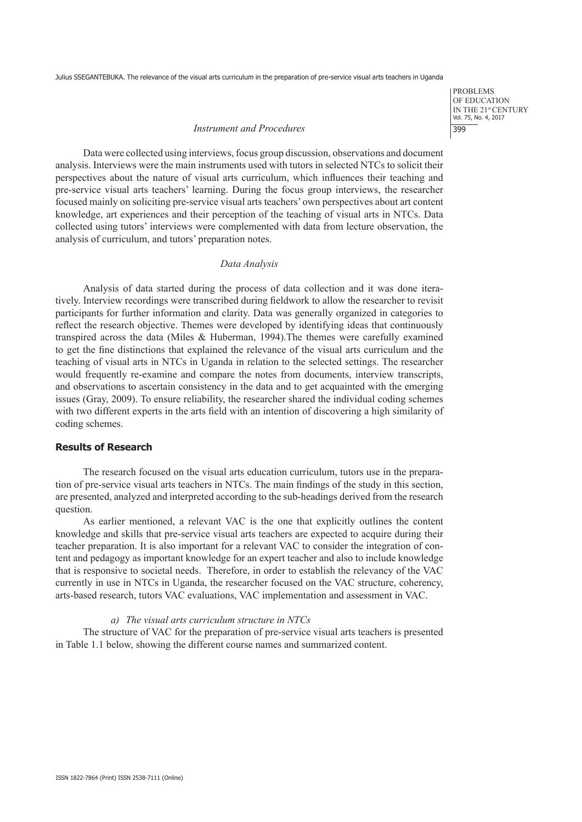PROBLEMS OF EDUCATION IN THE 21st CENTURY Vol. 75, No. 4, 2017 399

## *Instrument and Procedures*

Data were collected using interviews, focus group discussion, observations and document analysis. Interviews were the main instruments used with tutors in selected NTCs to solicit their perspectives about the nature of visual arts curriculum, which influences their teaching and pre-service visual arts teachers' learning. During the focus group interviews, the researcher focused mainly on soliciting pre-service visual arts teachers' own perspectives about art content knowledge, art experiences and their perception of the teaching of visual arts in NTCs. Data collected using tutors' interviews were complemented with data from lecture observation, the analysis of curriculum, and tutors' preparation notes.

## *Data Analysis*

Analysis of data started during the process of data collection and it was done iteratively. Interview recordings were transcribed during fieldwork to allow the researcher to revisit participants for further information and clarity. Data was generally organized in categories to reflect the research objective. Themes were developed by identifying ideas that continuously transpired across the data (Miles & Huberman, 1994).The themes were carefully examined to get the fine distinctions that explained the relevance of the visual arts curriculum and the teaching of visual arts in NTCs in Uganda in relation to the selected settings. The researcher would frequently re-examine and compare the notes from documents, interview transcripts, and observations to ascertain consistency in the data and to get acquainted with the emerging issues (Gray, 2009). To ensure reliability, the researcher shared the individual coding schemes with two different experts in the arts field with an intention of discovering a high similarity of coding schemes.

# **Results of Research**

The research focused on the visual arts education curriculum, tutors use in the preparation of pre-service visual arts teachers in NTCs. The main findings of the study in this section, are presented, analyzed and interpreted according to the sub-headings derived from the research question.

As earlier mentioned, a relevant VAC is the one that explicitly outlines the content knowledge and skills that pre-service visual arts teachers are expected to acquire during their teacher preparation. It is also important for a relevant VAC to consider the integration of content and pedagogy as important knowledge for an expert teacher and also to include knowledge that is responsive to societal needs. Therefore, in order to establish the relevancy of the VAC currently in use in NTCs in Uganda, the researcher focused on the VAC structure, coherency, arts-based research, tutors VAC evaluations, VAC implementation and assessment in VAC.

## *a) The visual arts curriculum structure in NTCs*

The structure of VAC for the preparation of pre-service visual arts teachers is presented in Table 1.1 below, showing the different course names and summarized content.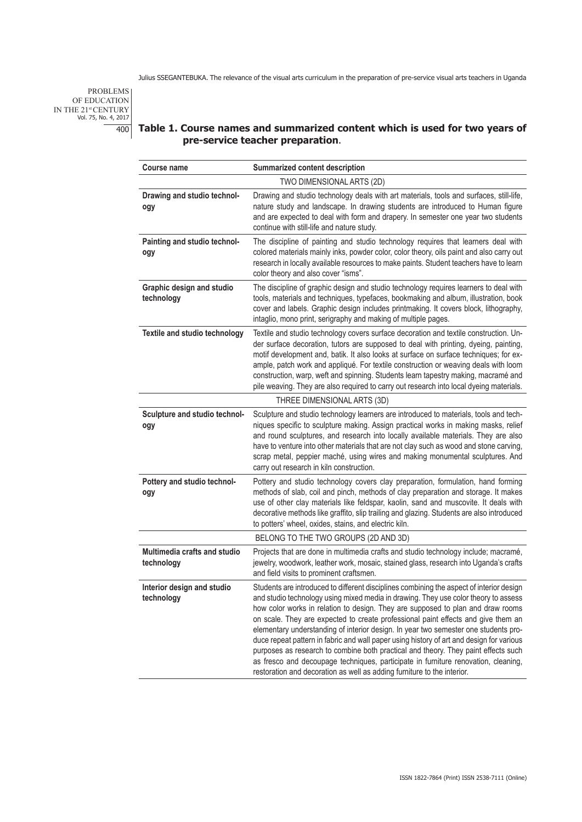PROBLEMS OF EDUCATION IN THE 21<sup>st</sup> CENTURY<br>Vol. 75, No. 4, 2017

# 400 **Table 1. Course names and summarized content which is used for two years of pre-service teacher preparation**.

| <b>Course name</b>                             | Summarized content description                                                                                                                                                                                                                                                                                                                                                                                                                                                                                                                                                                                                                                                                                                                                                                    |  |  |  |
|------------------------------------------------|---------------------------------------------------------------------------------------------------------------------------------------------------------------------------------------------------------------------------------------------------------------------------------------------------------------------------------------------------------------------------------------------------------------------------------------------------------------------------------------------------------------------------------------------------------------------------------------------------------------------------------------------------------------------------------------------------------------------------------------------------------------------------------------------------|--|--|--|
| TWO DIMENSIONAL ARTS (2D)                      |                                                                                                                                                                                                                                                                                                                                                                                                                                                                                                                                                                                                                                                                                                                                                                                                   |  |  |  |
| Drawing and studio technol-<br>ogy             | Drawing and studio technology deals with art materials, tools and surfaces, still-life,<br>nature study and landscape. In drawing students are introduced to Human figure<br>and are expected to deal with form and drapery. In semester one year two students<br>continue with still-life and nature study.                                                                                                                                                                                                                                                                                                                                                                                                                                                                                      |  |  |  |
| Painting and studio technol-<br>ogy            | The discipline of painting and studio technology requires that learners deal with<br>colored materials mainly inks, powder color, color theory, oils paint and also carry out<br>research in locally available resources to make paints. Student teachers have to learn<br>color theory and also cover "isms".                                                                                                                                                                                                                                                                                                                                                                                                                                                                                    |  |  |  |
| <b>Graphic design and studio</b><br>technology | The discipline of graphic design and studio technology requires learners to deal with<br>tools, materials and techniques, typefaces, bookmaking and album, illustration, book<br>cover and labels. Graphic design includes printmaking. It covers block, lithography,<br>intaglio, mono print, serigraphy and making of multiple pages.                                                                                                                                                                                                                                                                                                                                                                                                                                                           |  |  |  |
| Textile and studio technology                  | Textile and studio technology covers surface decoration and textile construction. Un-<br>der surface decoration, tutors are supposed to deal with printing, dyeing, painting,<br>motif development and, batik. It also looks at surface on surface techniques; for ex-<br>ample, patch work and appliqué. For textile construction or weaving deals with loom<br>construction, warp, weft and spinning. Students learn tapestry making, macramé and<br>pile weaving. They are also required to carry out research into local dyeing materials.                                                                                                                                                                                                                                                    |  |  |  |
|                                                | THREE DIMENSIONAL ARTS (3D)                                                                                                                                                                                                                                                                                                                                                                                                                                                                                                                                                                                                                                                                                                                                                                       |  |  |  |
| Sculpture and studio technol-<br>ogy           | Sculpture and studio technology learners are introduced to materials, tools and tech-<br>niques specific to sculpture making. Assign practical works in making masks, relief<br>and round sculptures, and research into locally available materials. They are also<br>have to venture into other materials that are not clay such as wood and stone carving,<br>scrap metal, peppier maché, using wires and making monumental sculptures. And<br>carry out research in kiln construction.                                                                                                                                                                                                                                                                                                         |  |  |  |
| Pottery and studio technol-<br>ogy             | Pottery and studio technology covers clay preparation, formulation, hand forming<br>methods of slab, coil and pinch, methods of clay preparation and storage. It makes<br>use of other clay materials like feldspar, kaolin, sand and muscovite. It deals with<br>decorative methods like graffito, slip trailing and glazing. Students are also introduced<br>to potters' wheel, oxides, stains, and electric kiln.                                                                                                                                                                                                                                                                                                                                                                              |  |  |  |
|                                                | BELONG TO THE TWO GROUPS (2D AND 3D)                                                                                                                                                                                                                                                                                                                                                                                                                                                                                                                                                                                                                                                                                                                                                              |  |  |  |
| Multimedia crafts and studio<br>technology     | Projects that are done in multimedia crafts and studio technology include; macramé,<br>jewelry, woodwork, leather work, mosaic, stained glass, research into Uganda's crafts<br>and field visits to prominent craftsmen.                                                                                                                                                                                                                                                                                                                                                                                                                                                                                                                                                                          |  |  |  |
| Interior design and studio<br>technology       | Students are introduced to different disciplines combining the aspect of interior design<br>and studio technology using mixed media in drawing. They use color theory to assess<br>how color works in relation to design. They are supposed to plan and draw rooms<br>on scale. They are expected to create professional paint effects and give them an<br>elementary understanding of interior design. In year two semester one students pro-<br>duce repeat pattern in fabric and wall paper using history of art and design for various<br>purposes as research to combine both practical and theory. They paint effects such<br>as fresco and decoupage techniques, participate in furniture renovation, cleaning,<br>restoration and decoration as well as adding furniture to the interior. |  |  |  |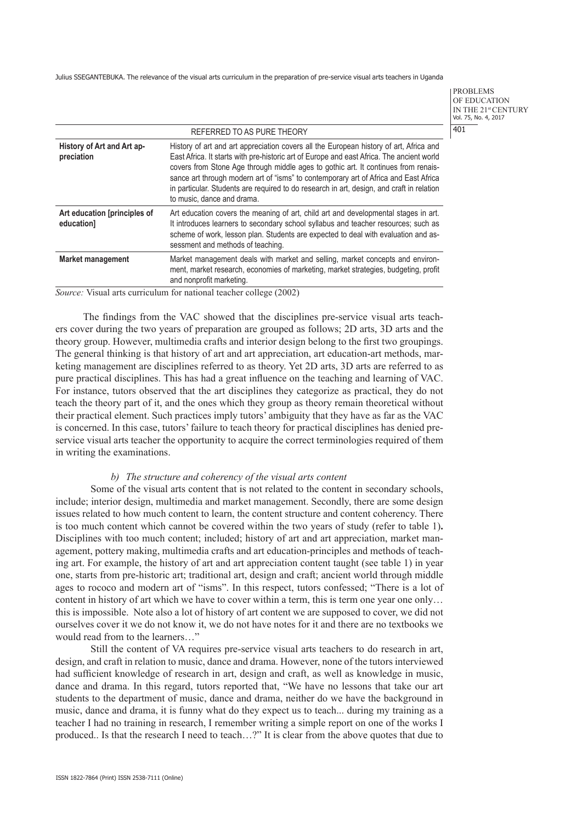PROBLEMS OF EDUCATION IN THE 21st CENTURY Vol. 75, No. 4, 2017 401

| REFERRED TO AS PURE THEORY                 |                                                                                                                                                                                                                                                                                                                                                                                                                                                                                              |  |  |  |
|--------------------------------------------|----------------------------------------------------------------------------------------------------------------------------------------------------------------------------------------------------------------------------------------------------------------------------------------------------------------------------------------------------------------------------------------------------------------------------------------------------------------------------------------------|--|--|--|
| History of Art and Art ap-<br>preciation   | History of art and art appreciation covers all the European history of art, Africa and<br>East Africa. It starts with pre-historic art of Europe and east Africa. The ancient world<br>covers from Stone Age through middle ages to gothic art. It continues from renais-<br>sance art through modern art of "isms" to contemporary art of Africa and East Africa<br>in particular. Students are required to do research in art, design, and craft in relation<br>to music, dance and drama. |  |  |  |
| Art education [principles of<br>education] | Art education covers the meaning of art, child art and developmental stages in art.<br>It introduces learners to secondary school syllabus and teacher resources; such as<br>scheme of work, lesson plan. Students are expected to deal with evaluation and as-<br>sessment and methods of teaching.                                                                                                                                                                                         |  |  |  |
| <b>Market management</b>                   | Market management deals with market and selling, market concepts and environ-<br>ment, market research, economies of marketing, market strategies, budgeting, profit<br>and nonprofit marketing.                                                                                                                                                                                                                                                                                             |  |  |  |

*Source:* Visual arts curriculum for national teacher college (2002)

The findings from the VAC showed that the disciplines pre-service visual arts teachers cover during the two years of preparation are grouped as follows; 2D arts, 3D arts and the theory group. However, multimedia crafts and interior design belong to the first two groupings. The general thinking is that history of art and art appreciation, art education-art methods, marketing management are disciplines referred to as theory. Yet 2D arts, 3D arts are referred to as pure practical disciplines. This has had a great influence on the teaching and learning of VAC. For instance, tutors observed that the art disciplines they categorize as practical, they do not teach the theory part of it, and the ones which they group as theory remain theoretical without their practical element. Such practices imply tutors' ambiguity that they have as far as the VAC is concerned. In this case, tutors' failure to teach theory for practical disciplines has denied preservice visual arts teacher the opportunity to acquire the correct terminologies required of them in writing the examinations.

# *b) The structure and coherency of the visual arts content*

Some of the visual arts content that is not related to the content in secondary schools, include; interior design, multimedia and market management. Secondly, there are some design issues related to how much content to learn, the content structure and content coherency. There is too much content which cannot be covered within the two years of study (refer to table 1)**.** Disciplines with too much content; included; history of art and art appreciation, market management, pottery making, multimedia crafts and art education-principles and methods of teaching art. For example, the history of art and art appreciation content taught (see table 1) in year one, starts from pre-historic art; traditional art, design and craft; ancient world through middle ages to rococo and modern art of "isms". In this respect, tutors confessed; "There is a lot of content in history of art which we have to cover within a term, this is term one year one only… this is impossible. Note also a lot of history of art content we are supposed to cover, we did not ourselves cover it we do not know it, we do not have notes for it and there are no textbooks we would read from to the learners…"

Still the content of VA requires pre-service visual arts teachers to do research in art, design, and craft in relation to music, dance and drama. However, none of the tutors interviewed had sufficient knowledge of research in art, design and craft, as well as knowledge in music, dance and drama. In this regard, tutors reported that, "We have no lessons that take our art students to the department of music, dance and drama, neither do we have the background in music, dance and drama, it is funny what do they expect us to teach... during my training as a teacher I had no training in research, I remember writing a simple report on one of the works I produced.. Is that the research I need to teach…?" It is clear from the above quotes that due to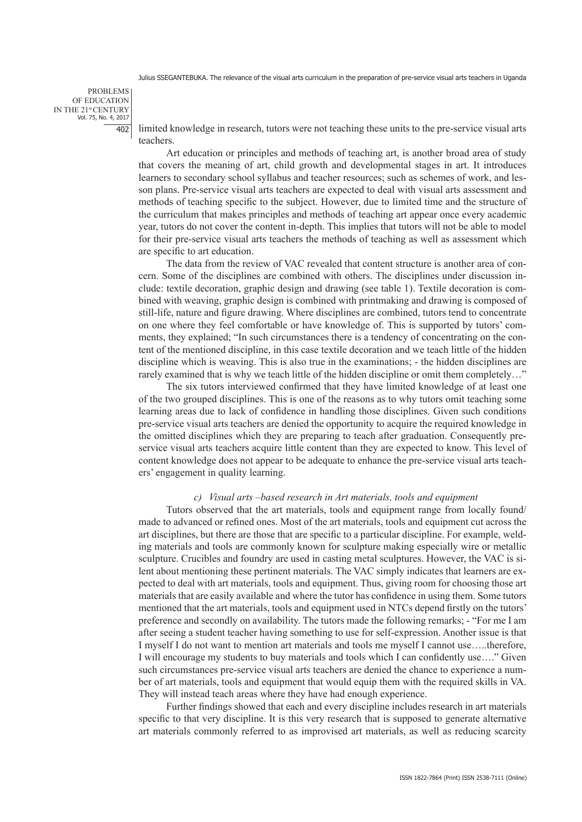PROBLEMS OF EDUCATION IN THE 21st CENTURY Vol. 75, No. 4, 2017 402

limited knowledge in research, tutors were not teaching these units to the pre-service visual arts teachers.

Art education or principles and methods of teaching art, is another broad area of study that covers the meaning of art, child growth and developmental stages in art. It introduces learners to secondary school syllabus and teacher resources; such as schemes of work, and lesson plans. Pre-service visual arts teachers are expected to deal with visual arts assessment and methods of teaching specific to the subject. However, due to limited time and the structure of the curriculum that makes principles and methods of teaching art appear once every academic year, tutors do not cover the content in-depth. This implies that tutors will not be able to model for their pre-service visual arts teachers the methods of teaching as well as assessment which are specific to art education.

The data from the review of VAC revealed that content structure is another area of concern. Some of the disciplines are combined with others. The disciplines under discussion include: textile decoration, graphic design and drawing (see table 1). Textile decoration is combined with weaving, graphic design is combined with printmaking and drawing is composed of still-life, nature and figure drawing. Where disciplines are combined, tutors tend to concentrate on one where they feel comfortable or have knowledge of. This is supported by tutors' comments, they explained; "In such circumstances there is a tendency of concentrating on the content of the mentioned discipline, in this case textile decoration and we teach little of the hidden discipline which is weaving. This is also true in the examinations; - the hidden disciplines are rarely examined that is why we teach little of the hidden discipline or omit them completely…"

The six tutors interviewed confirmed that they have limited knowledge of at least one of the two grouped disciplines. This is one of the reasons as to why tutors omit teaching some learning areas due to lack of confidence in handling those disciplines. Given such conditions pre-service visual arts teachers are denied the opportunity to acquire the required knowledge in the omitted disciplines which they are preparing to teach after graduation. Consequently preservice visual arts teachers acquire little content than they are expected to know. This level of content knowledge does not appear to be adequate to enhance the pre-service visual arts teachers' engagement in quality learning.

#### *c) Visual arts –based research in Art materials, tools and equipment*

Tutors observed that the art materials, tools and equipment range from locally found/ made to advanced or refined ones. Most of the art materials, tools and equipment cut across the art disciplines, but there are those that are specific to a particular discipline. For example, welding materials and tools are commonly known for sculpture making especially wire or metallic sculpture. Crucibles and foundry are used in casting metal sculptures. However, the VAC is silent about mentioning these pertinent materials. The VAC simply indicates that learners are expected to deal with art materials, tools and equipment. Thus, giving room for choosing those art materials that are easily available and where the tutor has confidence in using them. Some tutors mentioned that the art materials, tools and equipment used in NTCs depend firstly on the tutors' preference and secondly on availability. The tutors made the following remarks; - "For me I am after seeing a student teacher having something to use for self-expression. Another issue is that I myself I do not want to mention art materials and tools me myself I cannot use…..therefore, I will encourage my students to buy materials and tools which I can confidently use…." Given such circumstances pre-service visual arts teachers are denied the chance to experience a number of art materials, tools and equipment that would equip them with the required skills in VA. They will instead teach areas where they have had enough experience.

Further findings showed that each and every discipline includes research in art materials specific to that very discipline. It is this very research that is supposed to generate alternative art materials commonly referred to as improvised art materials, as well as reducing scarcity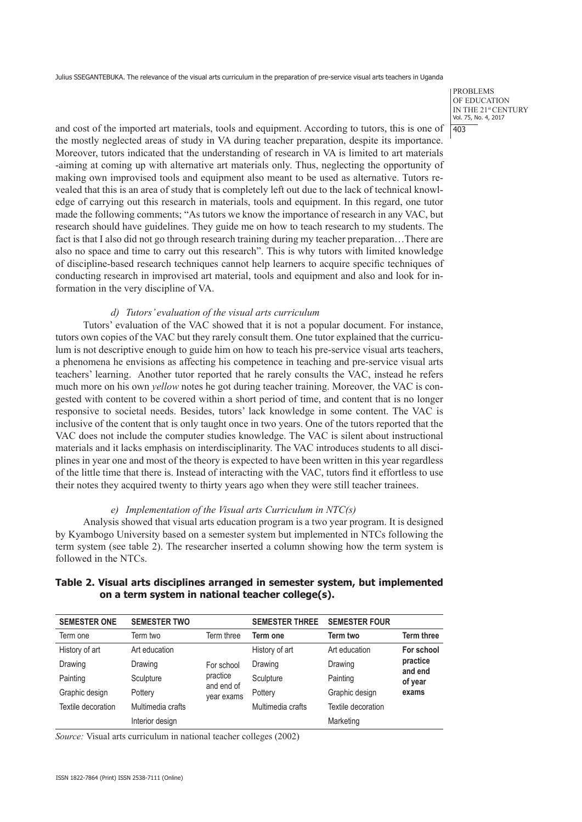PROBLEMS OF EDUCATION IN THE 21st CENTURY Vol. 75, No. 4, 2017  $\overline{403}$ 

and cost of the imported art materials, tools and equipment. According to tutors, this is one of the mostly neglected areas of study in VA during teacher preparation, despite its importance. Moreover, tutors indicated that the understanding of research in VA is limited to art materials -aiming at coming up with alternative art materials only. Thus, neglecting the opportunity of making own improvised tools and equipment also meant to be used as alternative. Tutors revealed that this is an area of study that is completely left out due to the lack of technical knowledge of carrying out this research in materials, tools and equipment. In this regard, one tutor made the following comments; "As tutors we know the importance of research in any VAC, but research should have guidelines. They guide me on how to teach research to my students. The fact is that I also did not go through research training during my teacher preparation…There are also no space and time to carry out this research". This is why tutors with limited knowledge of discipline-based research techniques cannot help learners to acquire specific techniques of conducting research in improvised art material, tools and equipment and also and look for information in the very discipline of VA.

# *d) Tutors' evaluation of the visual arts curriculum*

Tutors' evaluation of the VAC showed that it is not a popular document. For instance, tutors own copies of the VAC but they rarely consult them. One tutor explained that the curriculum is not descriptive enough to guide him on how to teach his pre-service visual arts teachers, a phenomena he envisions as affecting his competence in teaching and pre-service visual arts teachers' learning. Another tutor reported that he rarely consults the VAC, instead he refers much more on his own *yellow* notes he got during teacher training. Moreover*,* the VAC is congested with content to be covered within a short period of time, and content that is no longer responsive to societal needs. Besides, tutors' lack knowledge in some content. The VAC is inclusive of the content that is only taught once in two years. One of the tutors reported that the VAC does not include the computer studies knowledge. The VAC is silent about instructional materials and it lacks emphasis on interdisciplinarity. The VAC introduces students to all disciplines in year one and most of the theory is expected to have been written in this year regardless of the little time that there is. Instead of interacting with the VAC, tutors find it effortless to use their notes they acquired twenty to thirty years ago when they were still teacher trainees.

# *e) Implementation of the Visual arts Curriculum in NTC(s)*

Analysis showed that visual arts education program is a two year program. It is designed by Kyambogo University based on a semester system but implemented in NTCs following the term system (see table 2). The researcher inserted a column showing how the term system is followed in the NTCs.

| <b>SEMESTER ONE</b> | <b>SEMESTER TWO</b> |                                                    | <b>SEMESTER THREE</b> | <b>SEMESTER FOUR</b> |                                         |
|---------------------|---------------------|----------------------------------------------------|-----------------------|----------------------|-----------------------------------------|
| Term one            | Term two            | Term three                                         | Term one              | Term two             | <b>Term three</b>                       |
| History of art      | Art education       | For school<br>practice<br>and end of<br>year exams | History of art        | Art education        | For school                              |
| Drawing             | Drawing             |                                                    | Drawing               | Drawing              | practice<br>and end<br>of year<br>exams |
| Painting            | Sculpture           |                                                    | Sculpture             | Painting             |                                         |
| Graphic design      | Pottery             |                                                    | Pottery               | Graphic design       |                                         |
| Textile decoration  | Multimedia crafts   |                                                    | Multimedia crafts     | Textile decoration   |                                         |
|                     | Interior design     |                                                    |                       | Marketing            |                                         |

# **Table 2. Visual arts disciplines arranged in semester system, but implemented on a term system in national teacher college(s).**

*Source:* Visual arts curriculum in national teacher colleges (2002)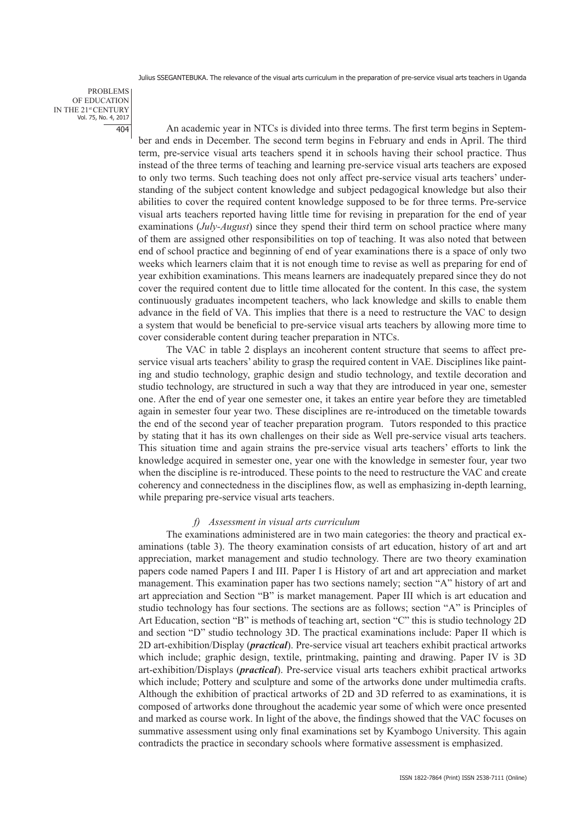PROBLEMS OF EDUCATION IN THE 21st CENTURY Vol. 75, No. 4, 2017 404

An academic year in NTCs is divided into three terms. The first term begins in September and ends in December. The second term begins in February and ends in April. The third term, pre-service visual arts teachers spend it in schools having their school practice. Thus instead of the three terms of teaching and learning pre-service visual arts teachers are exposed to only two terms. Such teaching does not only affect pre-service visual arts teachers' understanding of the subject content knowledge and subject pedagogical knowledge but also their abilities to cover the required content knowledge supposed to be for three terms. Pre-service visual arts teachers reported having little time for revising in preparation for the end of year examinations (*July-August*) since they spend their third term on school practice where many of them are assigned other responsibilities on top of teaching. It was also noted that between end of school practice and beginning of end of year examinations there is a space of only two weeks which learners claim that it is not enough time to revise as well as preparing for end of year exhibition examinations. This means learners are inadequately prepared since they do not cover the required content due to little time allocated for the content. In this case, the system continuously graduates incompetent teachers, who lack knowledge and skills to enable them advance in the field of VA. This implies that there is a need to restructure the VAC to design a system that would be beneficial to pre-service visual arts teachers by allowing more time to cover considerable content during teacher preparation in NTCs.

The VAC in table 2 displays an incoherent content structure that seems to affect preservice visual arts teachers' ability to grasp the required content in VAE. Disciplines like painting and studio technology, graphic design and studio technology, and textile decoration and studio technology, are structured in such a way that they are introduced in year one, semester one. After the end of year one semester one, it takes an entire year before they are timetabled again in semester four year two. These disciplines are re-introduced on the timetable towards the end of the second year of teacher preparation program.Tutors responded to this practice by stating that it has its own challenges on their side as Well pre-service visual arts teachers. This situation time and again strains the pre-service visual arts teachers' efforts to link the knowledge acquired in semester one, year one with the knowledge in semester four, year two when the discipline is re-introduced. These points to the need to restructure the VAC and create coherency and connectedness in the disciplines flow, as well as emphasizing in-depth learning, while preparing pre-service visual arts teachers.

#### *f) Assessment in visual arts curriculum*

The examinations administered are in two main categories: the theory and practical examinations (table 3). The theory examination consists of art education, history of art and art appreciation, market management and studio technology. There are two theory examination papers code named Papers I and III. Paper I is History of art and art appreciation and market management. This examination paper has two sections namely; section "A" history of art and art appreciation and Section "B" is market management. Paper III which is art education and studio technology has four sections. The sections are as follows; section "A" is Principles of Art Education, section "B" is methods of teaching art, section "C" this is studio technology 2D and section "D" studio technology 3D. The practical examinations include: Paper II which is 2D art-exhibition/Display (*practical*). Pre-service visual art teachers exhibit practical artworks which include; graphic design, textile, printmaking, painting and drawing. Paper IV is 3D art-exhibition/Displays (*practical*). Pre-service visual arts teachers exhibit practical artworks which include; Pottery and sculpture and some of the artworks done under multimedia crafts. Although the exhibition of practical artworks of 2D and 3D referred to as examinations, it is composed of artworks done throughout the academic year some of which were once presented and marked as course work. In light of the above, the findings showed that the VAC focuses on summative assessment using only final examinations set by Kyambogo University. This again contradicts the practice in secondary schools where formative assessment is emphasized.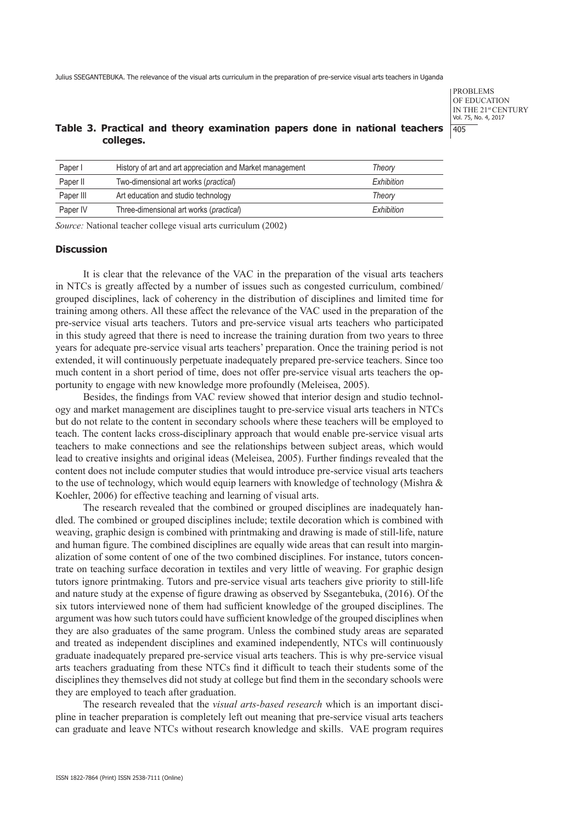PROBLEMS OF EDUCATION IN THE 21st CENTURY Vol. 75, No. 4, 2017 405

# **Table 3. Practical and theory examination papers done in national teachers colleges.**

| Paper I   | History of art and art appreciation and Market management | Theory     |
|-----------|-----------------------------------------------------------|------------|
| Paper II  | Two-dimensional art works (practical)                     | Exhibition |
| Paper III | Art education and studio technology                       | Theory     |
| Paper IV  | Three-dimensional art works (practical)                   | Exhibition |

*Source:* National teacher college visual arts curriculum (2002)

### **Discussion**

It is clear that the relevance of the VAC in the preparation of the visual arts teachers in NTCs is greatly affected by a number of issues such as congested curriculum, combined/ grouped disciplines, lack of coherency in the distribution of disciplines and limited time for training among others. All these affect the relevance of the VAC used in the preparation of the pre-service visual arts teachers. Tutors and pre-service visual arts teachers who participated in this study agreed that there is need to increase the training duration from two years to three years for adequate pre-service visual arts teachers' preparation. Once the training period is not extended, it will continuously perpetuate inadequately prepared pre-service teachers. Since too much content in a short period of time, does not offer pre-service visual arts teachers the opportunity to engage with new knowledge more profoundly (Meleisea, 2005).

Besides, the findings from VAC review showed that interior design and studio technology and market management are disciplines taught to pre-service visual arts teachers in NTCs but do not relate to the content in secondary schools where these teachers will be employed to teach. The content lacks cross-disciplinary approach that would enable pre-service visual arts teachers to make connections and see the relationships between subject areas, which would lead to creative insights and original ideas (Meleisea, 2005). Further findings revealed that the content does not include computer studies that would introduce pre-service visual arts teachers to the use of technology, which would equip learners with knowledge of technology (Mishra & Koehler, 2006) for effective teaching and learning of visual arts.

The research revealed that the combined or grouped disciplines are inadequately handled. The combined or grouped disciplines include; textile decoration which is combined with weaving, graphic design is combined with printmaking and drawing is made of still-life, nature and human figure. The combined disciplines are equally wide areas that can result into marginalization of some content of one of the two combined disciplines. For instance, tutors concentrate on teaching surface decoration in textiles and very little of weaving. For graphic design tutors ignore printmaking. Tutors and pre-service visual arts teachers give priority to still-life and nature study at the expense of figure drawing as observed by Ssegantebuka, (2016). Of the six tutors interviewed none of them had sufficient knowledge of the grouped disciplines. The argument was how such tutors could have sufficient knowledge of the grouped disciplines when they are also graduates of the same program. Unless the combined study areas are separated and treated as independent disciplines and examined independently, NTCs will continuously graduate inadequately prepared pre-service visual arts teachers. This is why pre-service visual arts teachers graduating from these NTCs find it difficult to teach their students some of the disciplines they themselves did not study at college but find them in the secondary schools were they are employed to teach after graduation.

The research revealed that the *visual arts-based research* which is an important discipline in teacher preparation is completely left out meaning that pre-service visual arts teachers can graduate and leave NTCs without research knowledge and skills. VAE program requires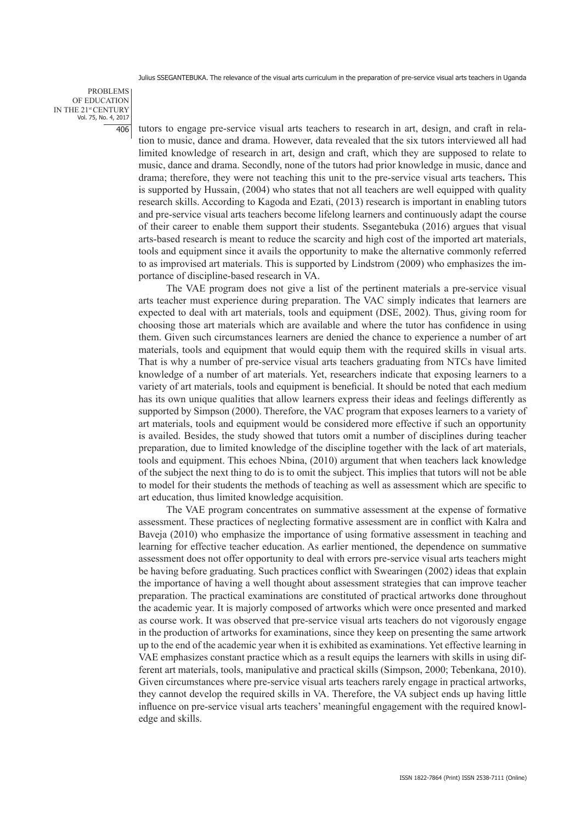PROBLEMS OF EDUCATION IN THE 21st CENTURY Vol. 75, No. 4, 2017 406

tutors to engage pre-service visual arts teachers to research in art, design, and craft in relation to music, dance and drama. However, data revealed that the six tutors interviewed all had limited knowledge of research in art, design and craft, which they are supposed to relate to music, dance and drama. Secondly, none of the tutors had prior knowledge in music, dance and drama; therefore, they were not teaching this unit to the pre-service visual arts teachers**.** This is supported by Hussain, (2004) who states that not all teachers are well equipped with quality research skills. According to Kagoda and Ezati, (2013) research is important in enabling tutors and pre-service visual arts teachers become lifelong learners and continuously adapt the course of their career to enable them support their students. Ssegantebuka (2016) argues that visual arts-based research is meant to reduce the scarcity and high cost of the imported art materials, tools and equipment since it avails the opportunity to make the alternative commonly referred to as improvised art materials. This is supported by Lindstrom (2009) who emphasizes the importance of discipline-based research in VA.

The VAE program does not give a list of the pertinent materials a pre-service visual arts teacher must experience during preparation. The VAC simply indicates that learners are expected to deal with art materials, tools and equipment (DSE, 2002). Thus, giving room for choosing those art materials which are available and where the tutor has confidence in using them. Given such circumstances learners are denied the chance to experience a number of art materials, tools and equipment that would equip them with the required skills in visual arts. That is why a number of pre-service visual arts teachers graduating from NTCs have limited knowledge of a number of art materials. Yet, researchers indicate that exposing learners to a variety of art materials, tools and equipment is beneficial. It should be noted that each medium has its own unique qualities that allow learners express their ideas and feelings differently as supported by Simpson (2000). Therefore, the VAC program that exposes learners to a variety of art materials, tools and equipment would be considered more effective if such an opportunity is availed. Besides, the study showed that tutors omit a number of disciplines during teacher preparation, due to limited knowledge of the discipline together with the lack of art materials, tools and equipment. This echoes Nbina, (2010) argument that when teachers lack knowledge of the subject the next thing to do is to omit the subject. This implies that tutors will not be able to model for their students the methods of teaching as well as assessment which are specific to art education, thus limited knowledge acquisition.

The VAE program concentrates on summative assessment at the expense of formative assessment. These practices of neglecting formative assessment are in conflict with Kalra and Baveja (2010) who emphasize the importance of using formative assessment in teaching and learning for effective teacher education. As earlier mentioned, the dependence on summative assessment does not offer opportunity to deal with errors pre-service visual arts teachers might be having before graduating. Such practices conflict with Swearingen (2002) ideas that explain the importance of having a well thought about assessment strategies that can improve teacher preparation. The practical examinations are constituted of practical artworks done throughout the academic year. It is majorly composed of artworks which were once presented and marked as course work. It was observed that pre-service visual arts teachers do not vigorously engage in the production of artworks for examinations, since they keep on presenting the same artwork up to the end of the academic year when it is exhibited as examinations. Yet effective learning in VAE emphasizes constant practice which as a result equips the learners with skills in using different art materials, tools, manipulative and practical skills (Simpson, 2000; Tebenkana, 2010). Given circumstances where pre-service visual arts teachers rarely engage in practical artworks, they cannot develop the required skills in VA. Therefore, the VA subject ends up having little influence on pre-service visual arts teachers' meaningful engagement with the required knowledge and skills.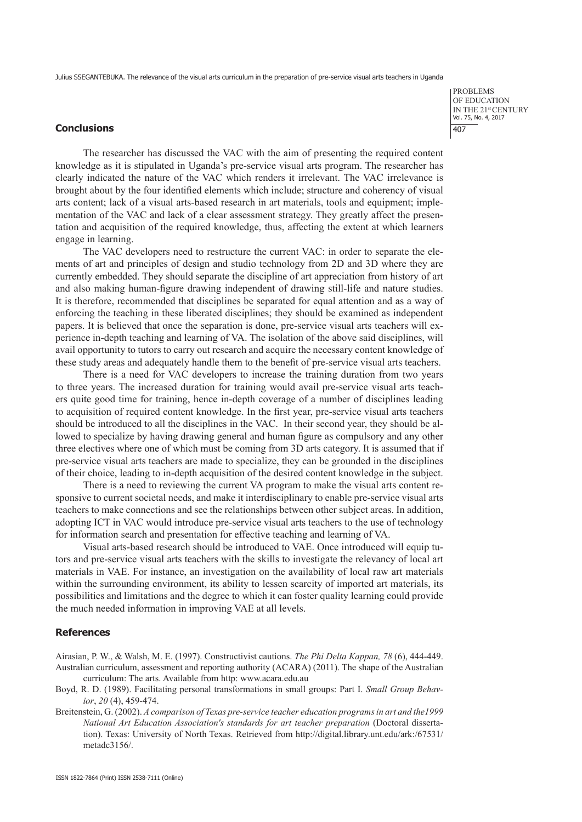## **Conclusions**

The researcher has discussed the VAC with the aim of presenting the required content knowledge as it is stipulated in Uganda's pre-service visual arts program. The researcher has clearly indicated the nature of the VAC which renders it irrelevant. The VAC irrelevance is brought about by the four identified elements which include; structure and coherency of visual arts content; lack of a visual arts-based research in art materials, tools and equipment; implementation of the VAC and lack of a clear assessment strategy. They greatly affect the presentation and acquisition of the required knowledge, thus, affecting the extent at which learners engage in learning.

The VAC developers need to restructure the current VAC: in order to separate the elements of art and principles of design and studio technology from 2D and 3D where they are currently embedded. They should separate the discipline of art appreciation from history of art and also making human-figure drawing independent of drawing still-life and nature studies. It is therefore, recommended that disciplines be separated for equal attention and as a way of enforcing the teaching in these liberated disciplines; they should be examined as independent papers. It is believed that once the separation is done, pre-service visual arts teachers will experience in-depth teaching and learning of VA. The isolation of the above said disciplines, will avail opportunity to tutors to carry out research and acquire the necessary content knowledge of these study areas and adequately handle them to the benefit of pre-service visual arts teachers.

There is a need for VAC developers to increase the training duration from two years to three years. The increased duration for training would avail pre-service visual arts teachers quite good time for training, hence in-depth coverage of a number of disciplines leading to acquisition of required content knowledge. In the first year, pre-service visual arts teachers should be introduced to all the disciplines in the VAC. In their second year, they should be allowed to specialize by having drawing general and human figure as compulsory and any other three electives where one of which must be coming from 3D arts category. It is assumed that if pre-service visual arts teachers are made to specialize, they can be grounded in the disciplines of their choice, leading to in-depth acquisition of the desired content knowledge in the subject.

There is a need to reviewing the current VA program to make the visual arts content responsive to current societal needs, and make it interdisciplinary to enable pre-service visual arts teachers to make connections and see the relationships between other subject areas. In addition, adopting ICT in VAC would introduce pre-service visual arts teachers to the use of technology for information search and presentation for effective teaching and learning of VA.

Visual arts-based research should be introduced to VAE. Once introduced will equip tutors and pre-service visual arts teachers with the skills to investigate the relevancy of local art materials in VAE. For instance, an investigation on the availability of local raw art materials within the surrounding environment, its ability to lessen scarcity of imported art materials, its possibilities and limitations and the degree to which it can foster quality learning could provide the much needed information in improving VAE at all levels.

## **References**

Airasian, P. W., & Walsh, M. E. (1997). Constructivist cautions. *The Phi Delta Kappan, 78* (6), 444-449. Australian curriculum, assessment and reporting authority (ACARA) (2011). The shape of the Australian curriculum: The arts. Available from http: www.acara.edu.au

Boyd, R. D. (1989). Facilitating personal transformations in small groups: Part I. *Small Group Behavior*, *20* (4), 459-474.

Breitenstein, G. (2002). *A comparison of Texas pre-service teacher education programs in art and the1999 National Art Education Association's standards for art teacher preparation* (Doctoral dissertation). Texas: University of North Texas. Retrieved from http://digital.library.unt.edu/ark:/67531/ metadc3156/.

PROBLEMS OF EDUCATION IN THE 21st CENTURY Vol. 75, No. 4, 2017 407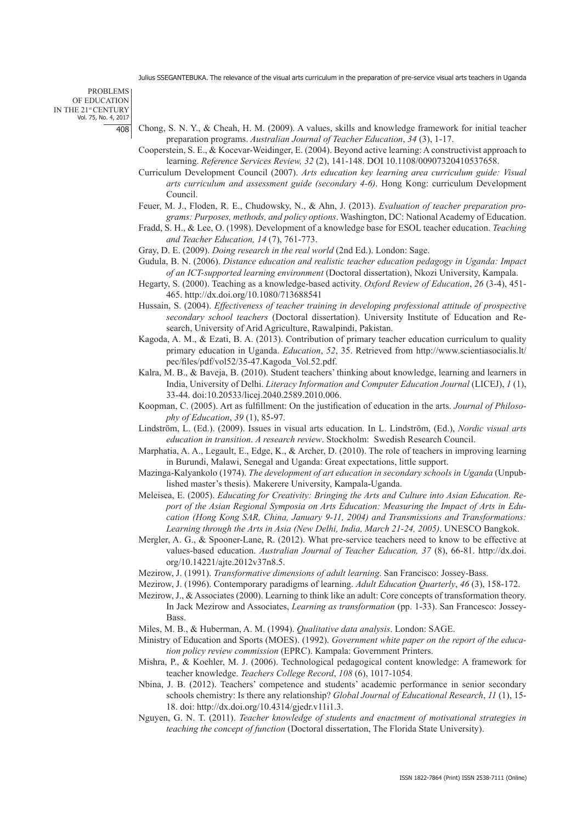PROBLEMS OF EDUCATION IN THE 21st CENTURY Vol. 75, No. 4, 2017 408

- Chong, S. N. Y., & Cheah, H. M. (2009). A values, skills and knowledge framework for initial teacher preparation programs. *Australian Journal of Teacher Education*, *34* (3), 1-17.
- Cooperstein, S. E., & Kocevar-Weidinger, E. (2004). Beyond active learning: A constructivist approach to learning. *Reference Services Review, 32* (2), 141-148. DOI 10.1108/00907320410537658.
- Curriculum Development Council (2007). *Arts education key learning area curriculum guide: Visual arts curriculum and assessment guide (secondary 4-6)*. Hong Kong: curriculum Development Council.
- Feuer, M. J., Floden, R. E., Chudowsky, N., & Ahn, J. (2013). *Evaluation of teacher preparation programs: Purposes, methods, and policy options*. Washington, DC: National Academy of Education.
- Fradd, S. H., & Lee, O. (1998). Development of a knowledge base for ESOL teacher education. *Teaching and Teacher Education, 14* (7), 761-773.
- Gray, D. E. (2009). *Doing research in the real world* (2nd Ed.). London: Sage.
- Gudula, B. N. (2006). *Distance education and realistic teacher education pedagogy in Uganda: Impact of an ICT-supported learning environment* (Doctoral dissertation), Nkozi University, Kampala.
- Hegarty, S. (2000). Teaching as a knowledge-based activity. *Oxford Review of Education*, *26* (3-4), 451- 465. http://dx.doi.org/10.1080/713688541
- Hussain, S. (2004). *Effectiveness of teacher training in developing professional attitude of prospective secondary school teachers* (Doctoral dissertation). University Institute of Education and Research, University of Arid Agriculture, Rawalpindi, Pakistan.
- Kagoda, A. M., & Ezati, B. A. (2013). Contribution of primary teacher education curriculum to quality primary education in Uganda. *Education*, *52*, 35. Retrieved from http://www.scientiasocialis.lt/ pec/files/pdf/vol52/35-47.Kagoda\_Vol.52.pdf.
- Kalra, M. B., & Baveja, B. (2010). Student teachers' thinking about knowledge, learning and learners in India, University of Delhi. *Literacy Information and Computer Education Journal* (LICEJ), *1* (1), 33-44. doi:10.20533/licej.2040.2589.2010.006.
- Koopman, C. (2005). Art as fulfillment: On the justification of education in the arts. *Journal of Philosophy of Education*, *39* (1), 85-97.
- Lindström, L. (Ed.). (2009). Issues in visual arts education. In L. Lindström, (Ed.), *Nordic visual arts education in transition*. *A research review*. Stockholm: Swedish Research Council.
- Marphatia, A. A., Legault, E., Edge, K., & Archer, D. (2010). The role of teachers in improving learning in Burundi, Malawi, Senegal and Uganda: Great expectations, little support.
- Mazinga-Kalyankolo (1974). *The development of art education in secondary schools in Uganda* (Unpublished master's thesis). Makerere University, Kampala-Uganda.
- Meleisea, E. (2005). *Educating for Creativity: Bringing the Arts and Culture into Asian Education. Report of the Asian Regional Symposia on Arts Education: Measuring the Impact of Arts in Education (Hong Kong SAR, China, January 9-11, 2004) and Transmissions and Transformations: Learning through the Arts in Asia (New Delhi, India, March 21-24, 2005)*. UNESCO Bangkok.
- Mergler, A. G., & Spooner-Lane, R. (2012). What pre-service teachers need to know to be effective at values-based education. *Australian Journal of Teacher Education, 37* (8), 66-81. http://dx.doi. org/10.14221/ajte.2012v37n8.5.
- Mezirow, J. (1991). *Transformative dimensions of adult learning*. San Francisco: Jossey-Bass.
- Mezirow, J. (1996). Contemporary paradigms of learning. *Adult Education Quarterly*, *46* (3), 158-172.
- Mezirow, J., & Associates (2000). Learning to think like an adult: Core concepts of transformation theory. In Jack Mezirow and Associates, *Learning as transformation* (pp. 1-33). San Francesco: Jossey-**Bass**.
- Miles, M. B., & Huberman, A. M. (1994). *Qualitative data analysis*. London: SAGE.
- Ministry of Education and Sports (MOES). (1992). *Government white paper on the report of the education policy review commission* (EPRC). Kampala: Government Printers.
- Mishra, P., & Koehler, M. J. (2006). Technological pedagogical content knowledge: A framework for teacher knowledge. *Teachers College Record*, *108* (6), 1017-1054.
- Nbina, J. B. (2012). Teachers' competence and students' academic performance in senior secondary schools chemistry: Is there any relationship? *Global Journal of Educational Research*, *11* (1), 15- 18. doi: http://dx.doi.org/10.4314/gjedr.v11i1.3.
- Nguyen, G. N. T. (2011). *Teacher knowledge of students and enactment of motivational strategies in teaching the concept of function* (Doctoral dissertation, The Florida State University).